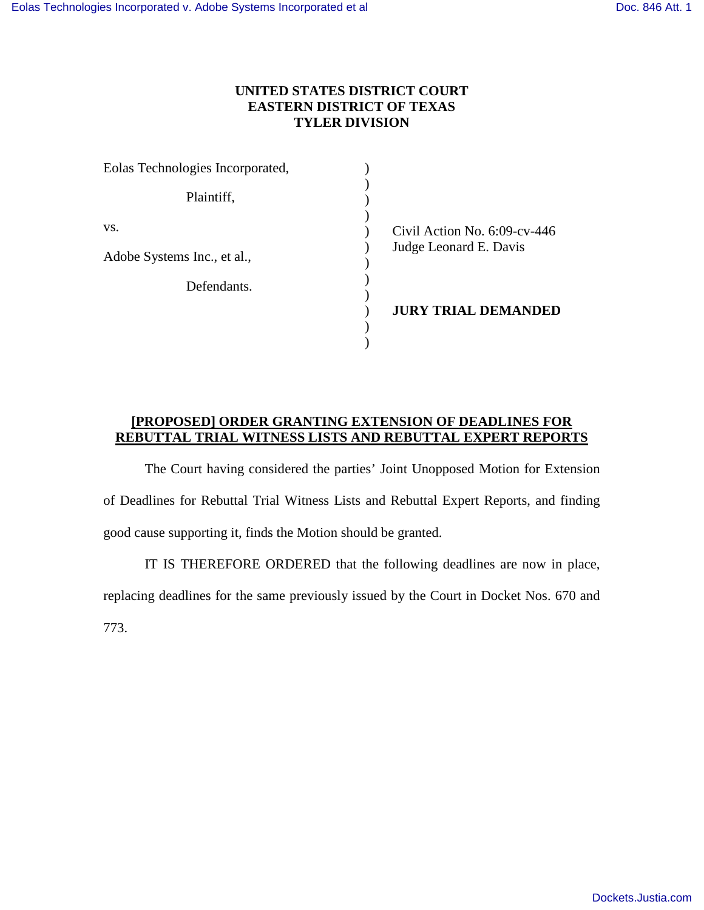## **UNITED STATES DISTRICT COURT EASTERN DISTRICT OF TEXAS TYLER DIVISION**

| Eolas Technologies Incorporated, |                                 |
|----------------------------------|---------------------------------|
| Plaintiff,                       |                                 |
| VS.                              | Civil Action No. $6:09$ -cv-446 |
| Adobe Systems Inc., et al.,      | Judge Leonard E. Davis          |
| Defendants.                      |                                 |
|                                  | <b>JURY TRIAL DEMANDED</b>      |
|                                  |                                 |
|                                  |                                 |

## **[PROPOSED] ORDER GRANTING EXTENSION OF DEADLINES FOR REBUTTAL TRIAL WITNESS LISTS AND REBUTTAL EXPERT REPORTS**

The Court having considered the parties' Joint Unopposed Motion for Extension of Deadlines for Rebuttal Trial Witness Lists and Rebuttal Expert Reports, and finding good cause supporting it, finds the Motion should be granted.

IT IS THEREFORE ORDERED that the following deadlines are now in place, replacing deadlines for the same previously issued by the Court in Docket Nos. 670 and 773.